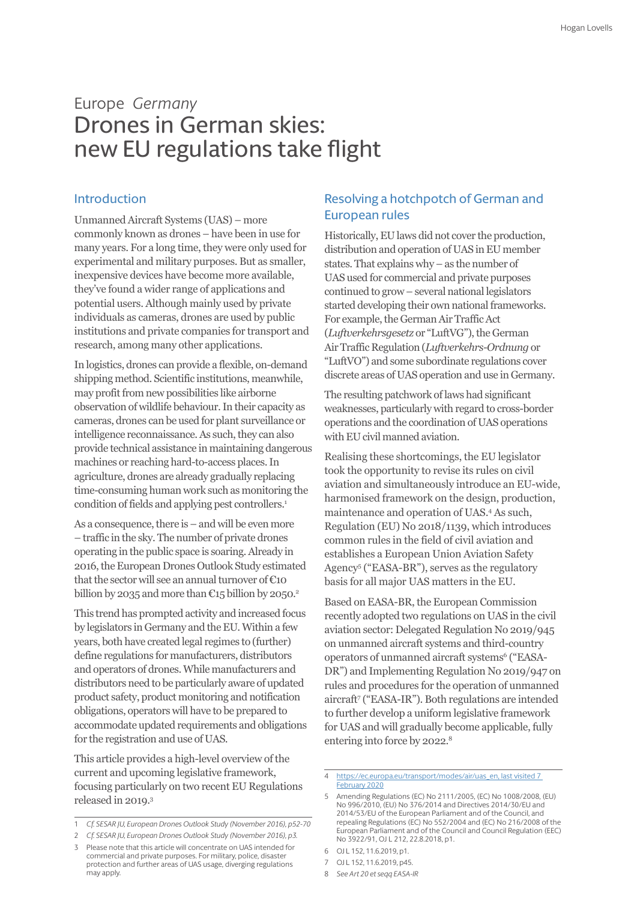# Europe *Germany* Drones in German skies: new EU regulations take flight

### Introduction

Unmanned Aircraft Systems (UAS) – more commonly known as drones – have been in use for many years. For a long time, they were only used for experimental and military purposes. But as smaller, inexpensive devices have become more available, they've found a wider range of applications and potential users. Although mainly used by private individuals as cameras, drones are used by public institutions and private companies for transport and research, among many other applications.

In logistics, drones can provide a flexible, on-demand shipping method. Scientific institutions, meanwhile, may profit from new possibilities like airborne observation of wildlife behaviour. In their capacity as cameras, drones can be used for plant surveillance or intelligence reconnaissance. As such, they can also provide technical assistance in maintaining dangerous machines or reaching hard-to-access places. In agriculture, drones are already gradually replacing time-consuming human work such as monitoring the condition of fields and applying pest controllers.<sup>1</sup>

As a consequence, there is – and will be even more – traffic in the sky. The number of private drones operating in the public space is soaring. Already in 2016, the European Drones Outlook Study estimated that the sector will see an annual turnover of  $\epsilon$ 10 billion by 2035 and more than  $C15$  billion by 2050.<sup>2</sup>

This trend has prompted activity and increased focus by legislators in Germany and the EU. Within a few years, both have created legal regimes to (further) define regulations for manufacturers, distributors and operators of drones. While manufacturers and distributors need to be particularly aware of updated product safety, product monitoring and notification obligations, operators will have to be prepared to accommodate updated requirements and obligations for the registration and use of UAS.

This article provides a high-level overview of the current and upcoming legislative framework, focusing particularly on two recent EU Regulations released in 2019.3

may apply.

Please note that this article will concentrate on UAS intended for commercial and private purposes. For military, police, disaster protection and further areas of UAS usage, diverging regulations

### Resolving a hotchpotch of German and European rules

Historically, EU laws did not cover the production, distribution and operation of UAS in EU member states. That explains why – as the number of UAS used for commercial and private purposes continued to grow – several national legislators started developing their own national frameworks. For example, the German Air Traffic Act (*Luftverkehrsgesetz* or "LuftVG"), the German Air Traffic Regulation (*Luftverkehrs-Ordnung* or "LuftVO") and some subordinate regulations cover discrete areas of UAS operation and use in Germany.

The resulting patchwork of laws had significant weaknesses, particularly with regard to cross-border operations and the coordination of UAS operations with EU civil manned aviation.

Realising these shortcomings, the EU legislator took the opportunity to revise its rules on civil aviation and simultaneously introduce an EU-wide, harmonised framework on the design, production, maintenance and operation of UAS.4 As such, Regulation (EU) No 2018/1139, which introduces common rules in the field of civil aviation and establishes a European Union Aviation Safety Agency5 ("EASA-BR"), serves as the regulatory basis for all major UAS matters in the EU.

Based on EASA-BR, the European Commission recently adopted two regulations on UAS in the civil aviation sector: Delegated Regulation No 2019/945 on unmanned aircraft systems and third-country operators of unmanned aircraft systems<sup>6</sup> ("EASA-DR") and Implementing Regulation No 2019/947 on rules and procedures for the operation of unmanned aircraft7 ("EASA-IR"). Both regulations are intended to further develop a uniform legislative framework for UAS and will gradually become applicable, fully entering into force by 2022.<sup>8</sup>

4 [https://ec.europa.eu/transport/modes/air/uas\\_en, last visited 7](https://ec.europa.eu/transport/modes/air/uas_en, last visited 7 February 2020)  [February 2020](https://ec.europa.eu/transport/modes/air/uas_en, last visited 7 February 2020)

- 7 OJ L 152, 11.6.2019, p45.
- 8 *See Art 20 et seqq EASA-IR*

<sup>1</sup> *Cf. SESAR JU, European Drones Outlook Study (November 2016), p52-70*

<sup>2</sup> *Cf. SESAR JU, European Drones Outlook Study (November 2016), p3.* 

<sup>5</sup> Amending Regulations (EC) No 2111/2005, (EC) No 1008/2008, (EU) No 996/2010, (EU) No 376/2014 and Directives 2014/30/EU and 2014/53/EU of the European Parliament and of the Council, and repealing Regulations (EC) No 552/2004 and (EC) No 216/2008 of the European Parliament and of the Council and Council Regulation (EEC) No 3922/91, OJ L 212, 22.8.2018, p1.

<sup>6</sup> OJ L 152, 11.6.2019, p1.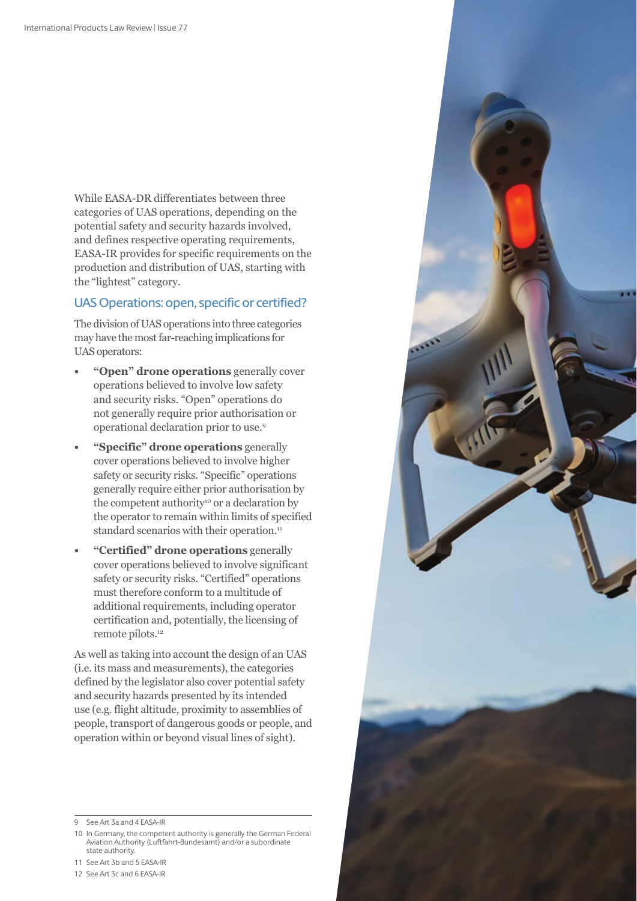While EASA-DR differentiates between three categories of UAS operations, depending on the potential safety and security hazards involved, and defines respective operating requirements, EASA-IR provides for specific requirements on the production and distribution of UAS, starting with the "lightest" category.

### UAS Operations: open, specific or certified?

The division of UAS operations into three categories may have the most far-reaching implications for UAS operators:

- **• "Open" drone operations** generally cover operations believed to involve low safety and security risks. "Open" operations do not generally require prior authorisation or operational declaration prior to use.9
- **• "Specific" drone operations** generally cover operations believed to involve higher safety or security risks. "Specific" operations generally require either prior authorisation by the competent authority<sup>10</sup> or a declaration by the operator to remain within limits of specified standard scenarios with their operation.<sup>11</sup>
- **• "Certified" drone operations** generally cover operations believed to involve significant safety or security risks. "Certified" operations must therefore conform to a multitude of additional requirements, including operator certification and, potentially, the licensing of remote pilots.<sup>12</sup>

As well as taking into account the design of an UAS (i.e. its mass and measurements), the categories defined by the legislator also cover potential safety and security hazards presented by its intended use (e.g. flight altitude, proximity to assemblies of people, transport of dangerous goods or people, and operation within or beyond visual lines of sight).

11 See Art 3b and 5 EASA-IR

<sup>9</sup> See Art 3a and 4 EASA-IR

<sup>10</sup> In Germany, the competent authority is generally the German Federal Aviation Authority (Luftfahrt-Bundesamt) and/or a subordinate state authority.

<sup>12</sup> See Art 3c and 6 EASA-IR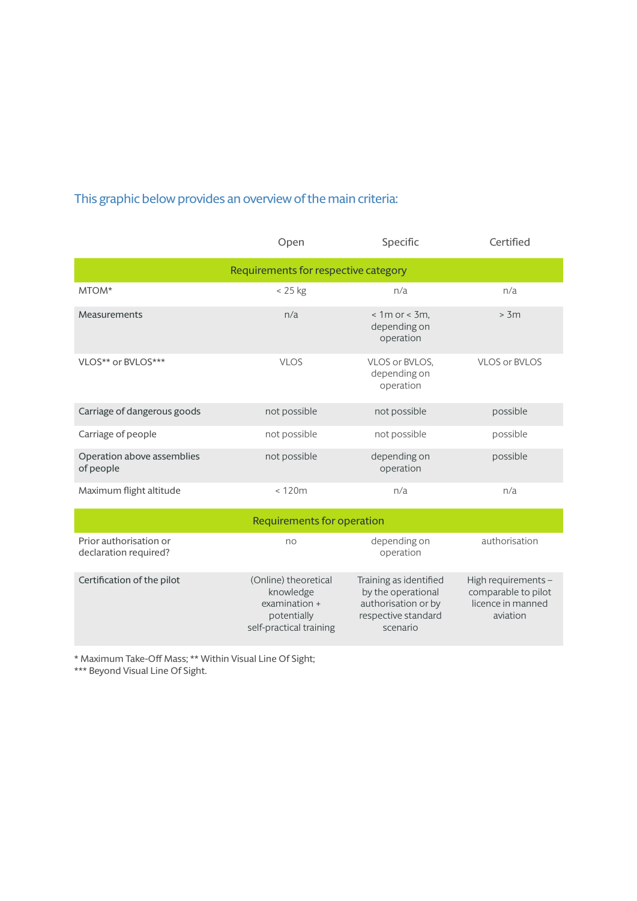## This graphic below provides an overview of the main criteria:

|                                                 | Open                                                                                         | Specific                                                                                               | Certified                                                                   |
|-------------------------------------------------|----------------------------------------------------------------------------------------------|--------------------------------------------------------------------------------------------------------|-----------------------------------------------------------------------------|
| Requirements for respective category            |                                                                                              |                                                                                                        |                                                                             |
| MTOM*                                           | < 25 kg                                                                                      | n/a                                                                                                    | n/a                                                                         |
| Measurements                                    | n/a                                                                                          | $< 1m$ or $< 3m$ ,<br>depending on<br>operation                                                        | > 3m                                                                        |
| VLOS** or BVLOS***                              | <b>VLOS</b>                                                                                  | VLOS or BVLOS.<br>depending on<br>operation                                                            | VLOS or BVLOS                                                               |
| Carriage of dangerous goods                     | not possible                                                                                 | not possible                                                                                           | possible                                                                    |
| Carriage of people                              | not possible                                                                                 | not possible                                                                                           | possible                                                                    |
| Operation above assemblies<br>of people         | not possible                                                                                 | depending on<br>operation                                                                              | possible                                                                    |
| Maximum flight altitude                         | < 120m                                                                                       | n/a                                                                                                    | n/a                                                                         |
| <b>Requirements for operation</b>               |                                                                                              |                                                                                                        |                                                                             |
| Prior authorisation or<br>declaration required? | no                                                                                           | depending on<br>operation                                                                              | authorisation                                                               |
| Certification of the pilot                      | (Online) theoretical<br>knowledge<br>examination +<br>potentially<br>self-practical training | Training as identified<br>by the operational<br>authorisation or by<br>respective standard<br>scenario | High requirements -<br>comparable to pilot<br>licence in manned<br>aviation |

\* Maximum Take-Off Mass; \*\* Within Visual Line Of Sight;

\*\*\* Beyond Visual Line Of Sight.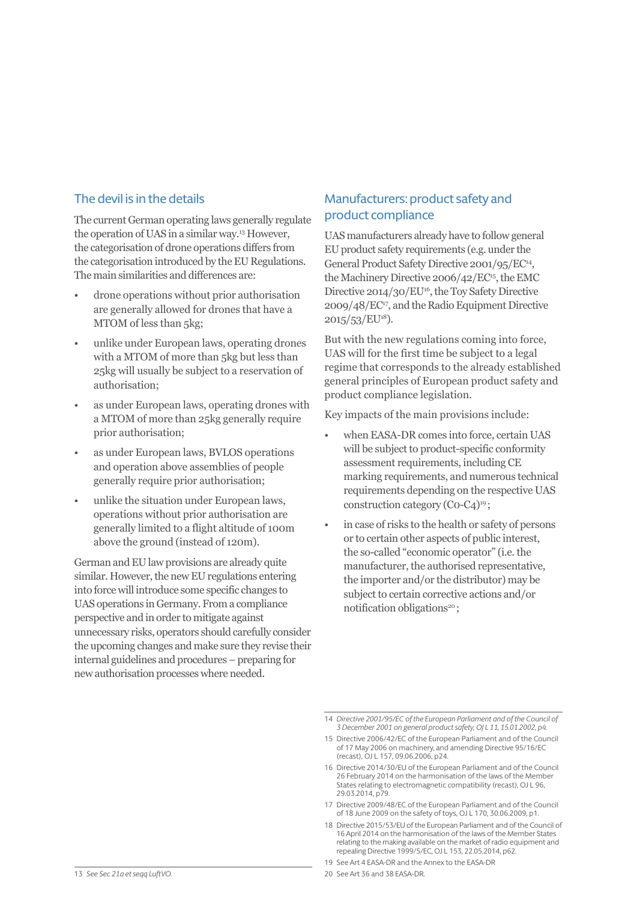## The devil is in the details

The current German operating laws generally regulate the operation of UAS in a similar way.13 However, the categorisation of drone operations differs from the categorisation introduced by the EU Regulations. The main similarities and differences are:

- drone operations without prior authorisation are generally allowed for drones that have a MTOM of less than 5kg;
- unlike under European laws, operating drones with a MTOM of more than 5kg but less than 25kg will usually be subject to a reservation of authorisation;
- as under European laws, operating drones with a MTOM of more than 25kg generally require prior authorisation;
- as under European laws, BVLOS operations and operation above assemblies of people generally require prior authorisation;
- unlike the situation under European laws, operations without prior authorisation are generally limited to a flight altitude of 100m above the ground (instead of 120m).

German and EU law provisions are already quite similar. However, the new EU regulations entering into force will introduce some specific changes to UAS operations in Germany. From a compliance perspective and in order to mitigate against unnecessary risks, operators should carefully consider the upcoming changes and make sure they revise their internal guidelines and procedures – preparing for new authorisation processes where needed.

## Manufacturers: product safety and product compliance

UAS manufacturers already have to follow general EU product safety requirements (e.g. under the General Product Safety Directive 2001/95/EC<sup>14</sup>, the Machinery Directive 2006/42/EC<sup>15</sup>, the EMC Directive 2014/30/EU<sup>16</sup>, the Toy Safety Directive 2009/48/EC17, and the Radio Equipment Directive 2015/53/EU18).

But with the new regulations coming into force, UAS will for the first time be subject to a legal regime that corresponds to the already established general principles of European product safety and product compliance legislation.

Key impacts of the main provisions include:

- when EASA-DR comes into force, certain UAS will be subject to product-specific conformity assessment requirements, including CE marking requirements, and numerous technical requirements depending on the respective UAS construction category  $(Co-C_4)^{19}$ :
- in case of risks to the health or safety of persons or to certain other aspects of public interest, the so-called "economic operator" (i.e. the manufacturer, the authorised representative, the importer and/or the distributor) may be subject to certain corrective actions and/or notification obligations<sup>20</sup>;

- 17 Directive 2009/48/EC of the European Parliament and of the Council of 18 June 2009 on the safety of toys, OJ L 170, 30.06.2009, p1.
- 18 Directive 2015/53/EU of the European Parliament and of the Council of 16 April 2014 on the harmonisation of the laws of the Member States relating to the making available on the market of radio equipment and repealing Directive 1999/5/EC, OJ L 153, 22.05.2014, p62.
- 19 See Art 4 EASA-DR and the Annex to the EASA-DR

<sup>14</sup> *Directive 2001/95/EC of the European Parliament and of the Council of 3 December 2001 on general product safety, OJ L 11, 15.01.2002, p4.* 

<sup>15</sup> Directive 2006/42/EC of the European Parliament and of the Council of 17 May 2006 on machinery, and amending Directive 95/16/EC (recast), OJ L 157, 09.06.2006, p24.

<sup>16</sup> Directive 2014/30/EU of the European Parliament and of the Council 26 February 2014 on the harmonisation of the laws of the Member States relating to electromagnetic compatibility (recast), OJ L 96, 29.03.2014, p79.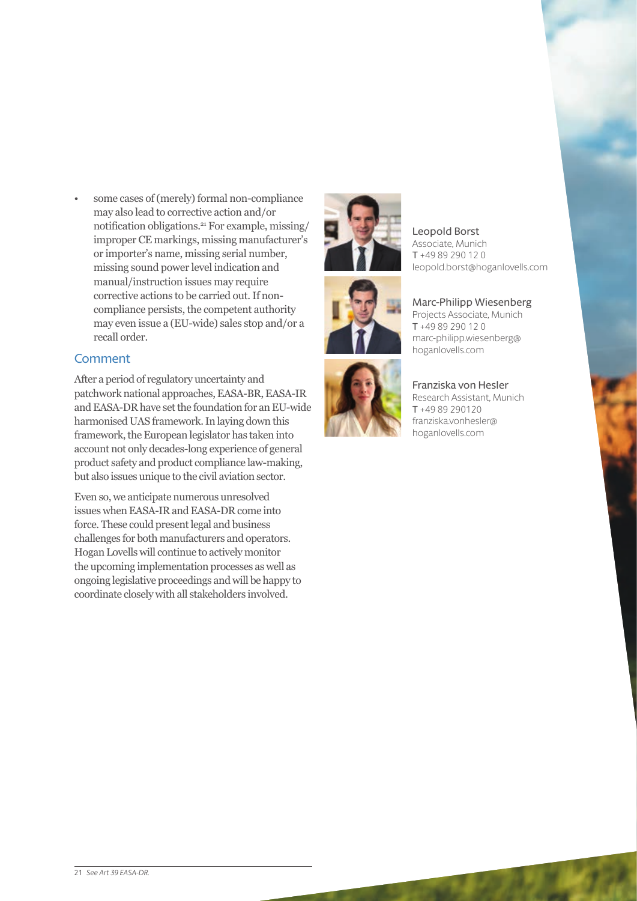• some cases of (merely) formal non-compliance may also lead to corrective action and/or notification obligations.21 For example, missing/ improper CE markings, missing manufacturer's or importer's name, missing serial number, missing sound power level indication and manual/instruction issues may require corrective actions to be carried out. If noncompliance persists, the competent authority may even issue a (EU-wide) sales stop and/or a recall order.

### **Comment**

After a period of regulatory uncertainty and patchwork national approaches, EASA-BR, EASA-IR and EASA-DR have set the foundation for an EU-wide harmonised UAS framework. In laying down this framework, the European legislator has taken into account not only decades-long experience of general product safety and product compliance law-making, but also issues unique to the civil aviation sector.

Even so, we anticipate numerous unresolved issues when EASA-IR and EASA-DR come into force. These could present legal and business challenges for both manufacturers and operators. Hogan Lovells will continue to actively monitor the upcoming implementation processes as well as ongoing legislative proceedings and will be happy to coordinate closely with all stakeholders involved.







Leopold Borst Associate, Munich T +49 89 290 12 0 leopold.borst@hoganlovells.com

#### Marc-Philipp Wiesenberg Projects Associate, Munich T +49 89 290 12 0

marc-philipp.wiesenberg@ hoganlovells.com

Franziska von Hesler Research Assistant, Munich T +49 89 290120 franziska.vonhesler@ hoganlovells.com